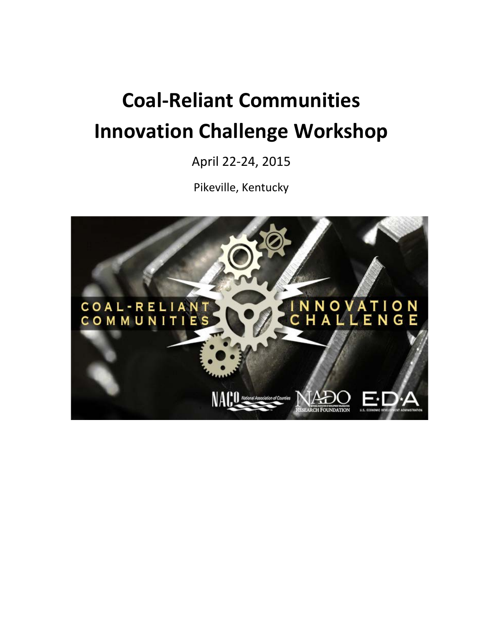# **Coal-Reliant Communities Innovation Challenge Workshop**

April 22-24, 2015

Pikeville, Kentucky

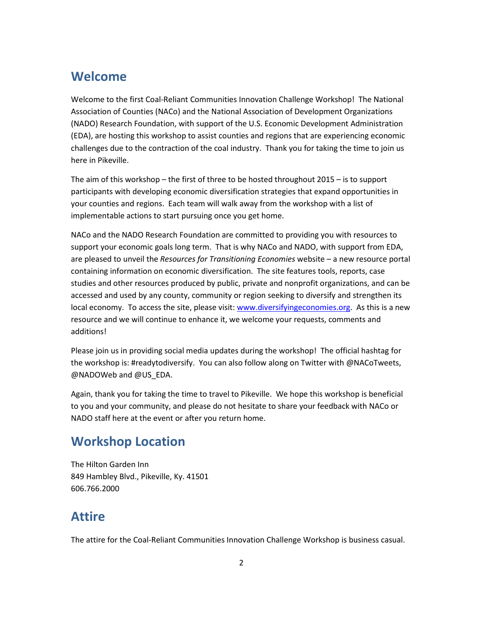### **Welcome**

Welcome to the first Coal-Reliant Communities Innovation Challenge Workshop! The National Association of Counties (NACo) and the National Association of Development Organizations (NADO) Research Foundation, with support of the U.S. Economic Development Administration (EDA), are hosting this workshop to assist counties and regions that are experiencing economic challenges due to the contraction of the coal industry. Thank you for taking the time to join us here in Pikeville.

The aim of this workshop – the first of three to be hosted throughout 2015 – is to support participants with developing economic diversification strategies that expand opportunities in your counties and regions. Each team will walk away from the workshop with a list of implementable actions to start pursuing once you get home.

NACo and the NADO Research Foundation are committed to providing you with resources to support your economic goals long term. That is why NACo and NADO, with support from EDA, are pleased to unveil the *Resources for Transitioning Economies* website – a new resource portal containing information on economic diversification. The site features tools, reports, case studies and other resources produced by public, private and nonprofit organizations, and can be accessed and used by any county, community or region seeking to diversify and strengthen its local economy. To access the site, please visit: [www.diversifyingeconomies.org.](http://www.diversifyingeconomies.org/) As this is a new resource and we will continue to enhance it, we welcome your requests, comments and additions!

Please join us in providing social media updates during the workshop! The official hashtag for the workshop is: #readytodiversify. You can also follow along on Twitter with @NACoTweets, @NADOWeb and @US\_EDA.

Again, thank you for taking the time to travel to Pikeville. We hope this workshop is beneficial to you and your community, and please do not hesitate to share your feedback with NACo or NADO staff here at the event or after you return home.

## **Workshop Location**

The Hilton Garden Inn 849 Hambley Blvd., Pikeville, Ky. 41501 606.766.2000

## **Attire**

The attire for the Coal-Reliant Communities Innovation Challenge Workshop is business casual.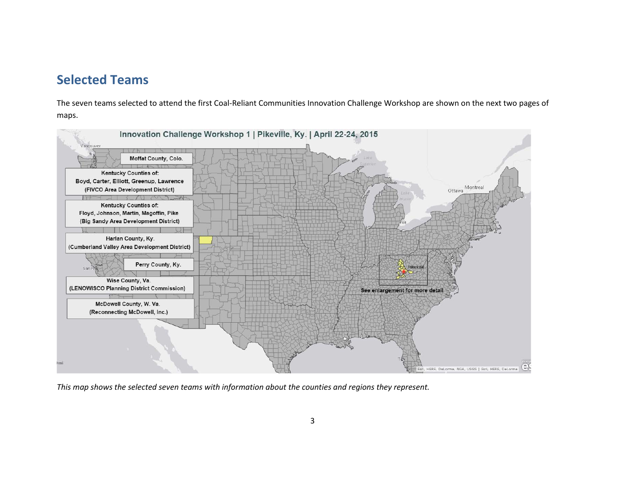### **Selected Teams**

The seven teams selected to attend the first Coal-Reliant Communities Innovation Challenge Workshop are shown on the next two pages of maps.



*This map shows the selected seven teams with information about the counties and regions they represent.*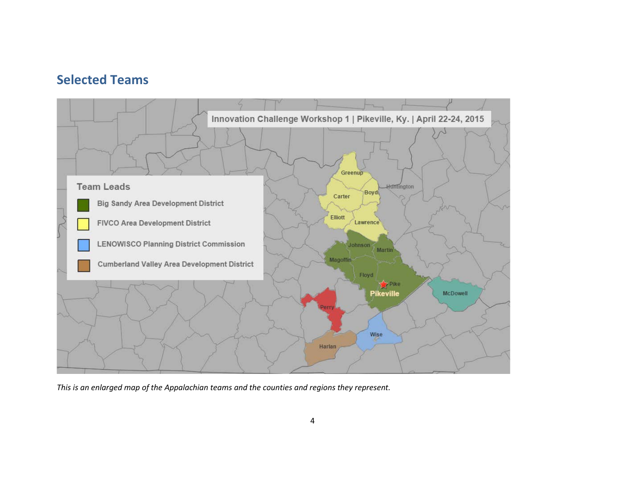### **Selected Teams**



*This is an enlarged map of the Appalachian teams and the counties and regions they represent.*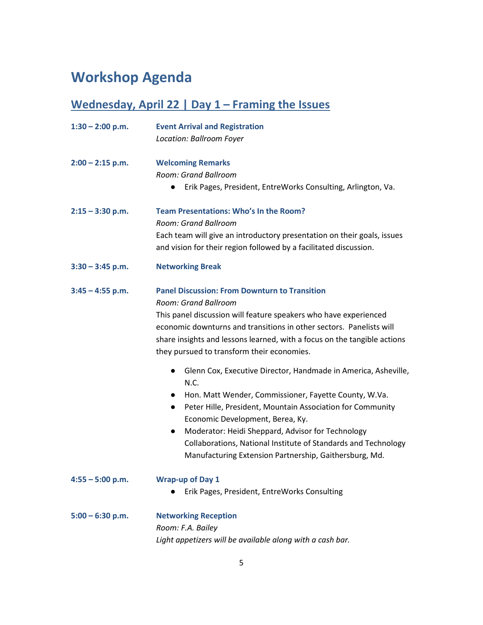## **Workshop Agenda**

## **Wednesday, April 22 | Day 1 – Framing the Issues**

| $1:30 - 2:00$ p.m. | <b>Event Arrival and Registration</b>                                                                                            |
|--------------------|----------------------------------------------------------------------------------------------------------------------------------|
|                    | Location: Ballroom Foyer                                                                                                         |
| $2:00 - 2:15$ p.m. | <b>Welcoming Remarks</b>                                                                                                         |
|                    | Room: Grand Ballroom                                                                                                             |
|                    | Erik Pages, President, EntreWorks Consulting, Arlington, Va.<br>$\bullet$                                                        |
| $2:15 - 3:30$ p.m. | <b>Team Presentations: Who's In the Room?</b>                                                                                    |
|                    | Room: Grand Ballroom                                                                                                             |
|                    | Each team will give an introductory presentation on their goals, issues                                                          |
|                    | and vision for their region followed by a facilitated discussion.                                                                |
| $3:30 - 3:45$ p.m. | <b>Networking Break</b>                                                                                                          |
| $3:45 - 4:55$ p.m. | <b>Panel Discussion: From Downturn to Transition</b>                                                                             |
|                    | Room: Grand Ballroom                                                                                                             |
|                    | This panel discussion will feature speakers who have experienced                                                                 |
|                    | economic downturns and transitions in other sectors. Panelists will                                                              |
|                    | share insights and lessons learned, with a focus on the tangible actions                                                         |
|                    | they pursued to transform their economies.                                                                                       |
|                    | Glenn Cox, Executive Director, Handmade in America, Asheville,<br>$\bullet$<br>N.C.                                              |
|                    | Hon. Matt Wender, Commissioner, Fayette County, W.Va.                                                                            |
|                    | Peter Hille, President, Mountain Association for Community<br>$\bullet$                                                          |
|                    | Economic Development, Berea, Ky.                                                                                                 |
|                    | Moderator: Heidi Sheppard, Advisor for Technology<br>$\bullet$<br>Collaborations, National Institute of Standards and Technology |
|                    | Manufacturing Extension Partnership, Gaithersburg, Md.                                                                           |
|                    |                                                                                                                                  |
| $4:55 - 5:00$ p.m. | <b>Wrap-up of Day 1</b>                                                                                                          |
|                    | Erik Pages, President, EntreWorks Consulting                                                                                     |
| $5:00 - 6:30$ p.m. | <b>Networking Reception</b>                                                                                                      |
|                    | Room: F.A. Bailey                                                                                                                |
|                    | Light appetizers will be available along with a cash bar.                                                                        |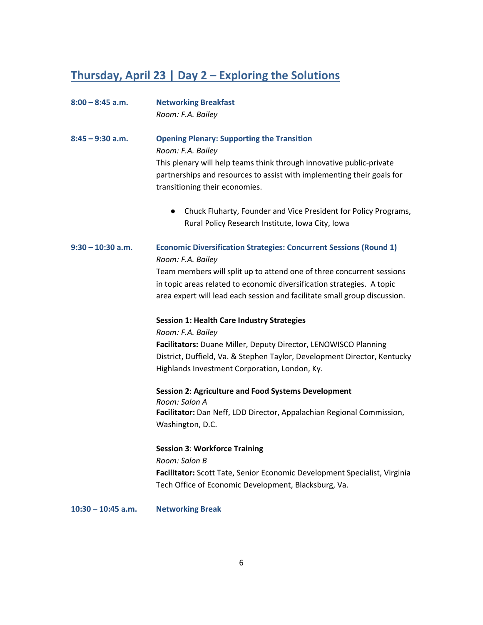## **Thursday, April 23 | Day 2 – Exploring the Solutions**

| $8:00 - 8:45$ a.m.   | <b>Networking Breakfast</b><br>Room: F.A. Bailey                                                                                                                                                                                                                                                                               |
|----------------------|--------------------------------------------------------------------------------------------------------------------------------------------------------------------------------------------------------------------------------------------------------------------------------------------------------------------------------|
| $8:45 - 9:30$ a.m.   | <b>Opening Plenary: Supporting the Transition</b><br>Room: F.A. Bailey<br>This plenary will help teams think through innovative public-private<br>partnerships and resources to assist with implementing their goals for<br>transitioning their economies.                                                                     |
|                      | Chuck Fluharty, Founder and Vice President for Policy Programs,<br>$\bullet$<br>Rural Policy Research Institute, Iowa City, Iowa                                                                                                                                                                                               |
| $9:30 - 10:30$ a.m.  | <b>Economic Diversification Strategies: Concurrent Sessions (Round 1)</b><br>Room: F.A. Bailey<br>Team members will split up to attend one of three concurrent sessions<br>in topic areas related to economic diversification strategies. A topic<br>area expert will lead each session and facilitate small group discussion. |
|                      | <b>Session 1: Health Care Industry Strategies</b><br>Room: F.A. Bailey<br>Facilitators: Duane Miller, Deputy Director, LENOWISCO Planning<br>District, Duffield, Va. & Stephen Taylor, Development Director, Kentucky<br>Highlands Investment Corporation, London, Ky.                                                         |
|                      | Session 2: Agriculture and Food Systems Development<br>Room: Salon A<br>Facilitator: Dan Neff, LDD Director, Appalachian Regional Commission,<br>Washington, D.C.                                                                                                                                                              |
|                      | <b>Session 3: Workforce Training</b><br>Room: Salon B<br>Facilitator: Scott Tate, Senior Economic Development Specialist, Virginia<br>Tech Office of Economic Development, Blacksburg, Va.                                                                                                                                     |
| $10:30 - 10:45$ a.m. | <b>Networking Break</b>                                                                                                                                                                                                                                                                                                        |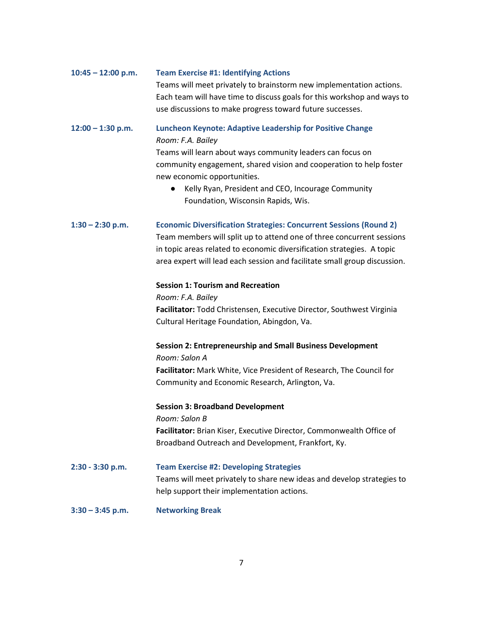| $10:45 - 12:00$ p.m. | <b>Team Exercise #1: Identifying Actions</b>                                                      |
|----------------------|---------------------------------------------------------------------------------------------------|
|                      | Teams will meet privately to brainstorm new implementation actions.                               |
|                      | Each team will have time to discuss goals for this workshop and ways to                           |
|                      | use discussions to make progress toward future successes.                                         |
| $12:00 - 1:30$ p.m.  | <b>Luncheon Keynote: Adaptive Leadership for Positive Change</b><br>Room: F.A. Bailey             |
|                      | Teams will learn about ways community leaders can focus on                                        |
|                      | community engagement, shared vision and cooperation to help foster<br>new economic opportunities. |
|                      | Kelly Ryan, President and CEO, Incourage Community                                                |
|                      | Foundation, Wisconsin Rapids, Wis.                                                                |
| $1:30 - 2:30$ p.m.   | <b>Economic Diversification Strategies: Concurrent Sessions (Round 2)</b>                         |
|                      | Team members will split up to attend one of three concurrent sessions                             |
|                      | in topic areas related to economic diversification strategies. A topic                            |
|                      | area expert will lead each session and facilitate small group discussion.                         |
|                      | <b>Session 1: Tourism and Recreation</b>                                                          |
|                      | Room: F.A. Bailey                                                                                 |
|                      | Facilitator: Todd Christensen, Executive Director, Southwest Virginia                             |
|                      | Cultural Heritage Foundation, Abingdon, Va.                                                       |
|                      | <b>Session 2: Entrepreneurship and Small Business Development</b>                                 |
|                      | Room: Salon A                                                                                     |
|                      | Facilitator: Mark White, Vice President of Research, The Council for                              |
|                      | Community and Economic Research, Arlington, Va.                                                   |
|                      | <b>Session 3: Broadband Development</b>                                                           |
|                      | Room: Salon B                                                                                     |
|                      | Facilitator: Brian Kiser, Executive Director, Commonwealth Office of                              |
|                      | Broadband Outreach and Development, Frankfort, Ky.                                                |
| 2:30 - 3:30 p.m.     | <b>Team Exercise #2: Developing Strategies</b>                                                    |
|                      | Teams will meet privately to share new ideas and develop strategies to                            |
|                      | help support their implementation actions.                                                        |
| $3:30 - 3:45$ p.m.   | <b>Networking Break</b>                                                                           |

7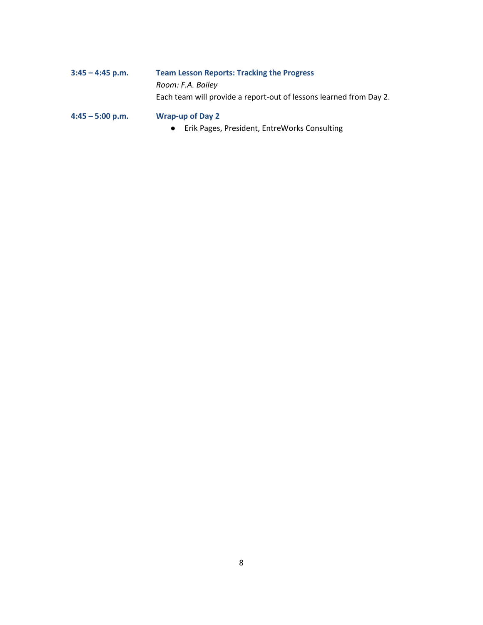| $3:45 - 4:45$ p.m. | <b>Team Lesson Reports: Tracking the Progress</b>                  |
|--------------------|--------------------------------------------------------------------|
|                    | Room: F.A. Bailey                                                  |
|                    | Each team will provide a report-out of lessons learned from Day 2. |
| $4:45 - 5:00$ p.m. | <b>Wrap-up of Day 2</b>                                            |

● Erik Pages, President, EntreWorks Consulting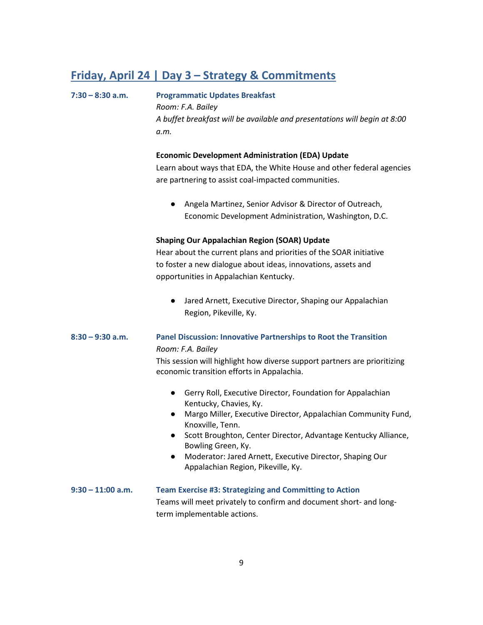### **Friday, April 24 | Day 3 – Strategy & Commitments**

## **7:30 – 8:30 a.m. Programmatic Updates Breakfast**  *Room: F.A. Bailey A buffet breakfast will be available and presentations will begin at 8:00 a.m.* **Economic Development Administration (EDA) Update**  Learn about ways that EDA, the White House and other federal agencies are partnering to assist coal-impacted communities. ● Angela Martinez, Senior Advisor & Director of Outreach, Economic Development Administration, Washington, D.C. **Shaping Our Appalachian Region (SOAR) Update**  Hear about the current plans and priorities of the SOAR initiative to foster a new dialogue about ideas, innovations, assets and opportunities in Appalachian Kentucky. ● Jared Arnett, Executive Director, Shaping our Appalachian Region, Pikeville, Ky. **8:30 – 9:30 a.m. Panel Discussion: Innovative Partnerships to Root the Transition** *Room: F.A. Bailey* This session will highlight how diverse support partners are prioritizing economic transition efforts in Appalachia. ● Gerry Roll, Executive Director, Foundation for Appalachian Kentucky, Chavies, Ky. ● Margo Miller, Executive Director, Appalachian Community Fund, Knoxville, Tenn. ● Scott Broughton, Center Director, Advantage Kentucky Alliance, Bowling Green, Ky. ● Moderator: Jared Arnett, Executive Director, Shaping Our Appalachian Region, Pikeville, Ky. **9:30 – 11:00 a.m. Team Exercise #3: Strategizing and Committing to Action**  Teams will meet privately to confirm and document short- and longterm implementable actions.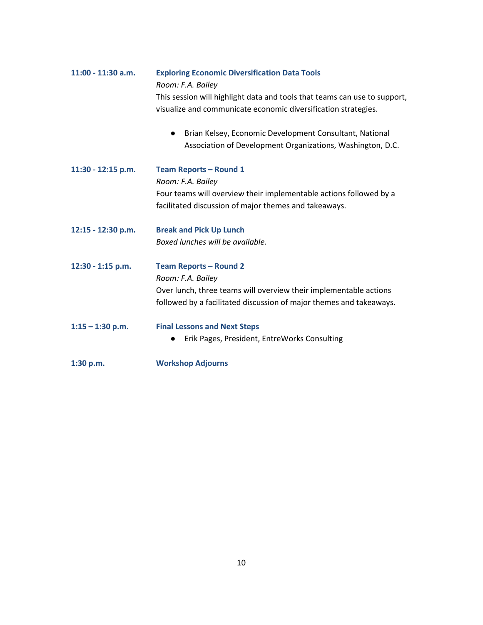| 11:00 - 11:30 a.m. | <b>Exploring Economic Diversification Data Tools</b><br>Room: F.A. Bailey |
|--------------------|---------------------------------------------------------------------------|
|                    | This session will highlight data and tools that teams can use to support, |
|                    | visualize and communicate economic diversification strategies.            |
|                    | Brian Kelsey, Economic Development Consultant, National                   |
|                    | Association of Development Organizations, Washington, D.C.                |
| 11:30 - 12:15 p.m. | <b>Team Reports - Round 1</b>                                             |
|                    | Room: F.A. Bailey                                                         |
|                    | Four teams will overview their implementable actions followed by a        |
|                    | facilitated discussion of major themes and takeaways.                     |
| 12:15 - 12:30 p.m. | <b>Break and Pick Up Lunch</b>                                            |
|                    | Boxed lunches will be available.                                          |
| 12:30 - 1:15 p.m.  | <b>Team Reports - Round 2</b>                                             |
|                    | Room: F.A. Bailey                                                         |
|                    | Over lunch, three teams will overview their implementable actions         |
|                    | followed by a facilitated discussion of major themes and takeaways.       |
| $1:15 - 1:30$ p.m. | <b>Final Lessons and Next Steps</b>                                       |
|                    | Erik Pages, President, EntreWorks Consulting                              |
| 1:30 p.m.          | <b>Workshop Adjourns</b>                                                  |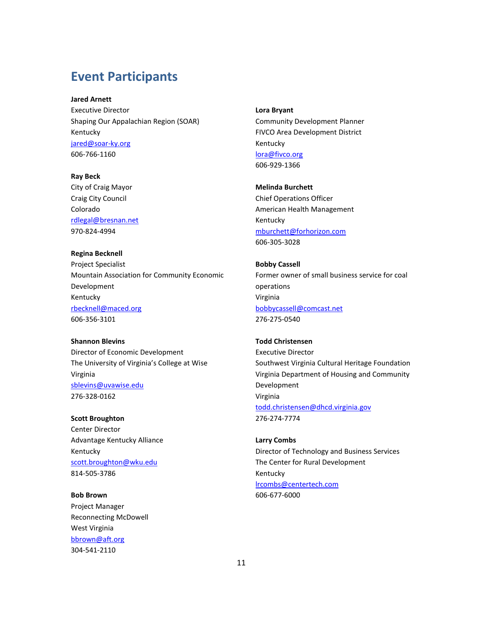### **Event Participants**

**Jared Arnett** 

Executive Director Shaping Our Appalachian Region (SOAR) Kentucky [jared@soar-ky.org](mailto:jared@soar-ky.org) 606-766-1160

**Ray Beck** 

City of Craig Mayor Craig City Council Colorado [rdlegal@bresnan.net](mailto:rdlegal@bresnan.net) 970-824-4994

**Regina Becknell** 

Project Specialist Mountain Association for Community Economic Development Kentucky [rbecknell@maced.org](mailto:rbecknell@maced.org) 606-356-3101

**Shannon Blevins** Director of Economic Development The University of Virginia's College at Wise Virginia [sblevins@uvawise.edu](mailto:sblevins@uvawise.edu) 276-328-0162

**Scott Broughton**  Center Director Advantage Kentucky Alliance Kentucky [scott.broughton@wku.edu](mailto:scott.broughton@wku.edu) 814-505-3786

**Bob Brown**  Project Manager Reconnecting McDowell West Virginia [bbrown@aft.org](mailto:bbrown@aft.org) 304-541-2110

**Lora Bryant**  Community Development Planner FIVCO Area Development District Kentucky [lora@fivco.org](mailto:lora@fivco.org) 606-929-1366

**Melinda Burchett**  Chief Operations Officer American Health Management Kentucky [mburchett@forhorizon.com](mailto:mburchett@forhorizon.com) 606-305-3028

**Bobby Cassell**  Former owner of small business service for coal operations Virginia [bobbycassell@comcast.net](mailto:bobbycassell@comcast.net) 276-275-0540

**Todd Christensen**  Executive Director Southwest Virginia Cultural Heritage Foundation Virginia Department of Housing and Community Development Virginia [todd.christensen@dhcd.virginia.gov](mailto:todd.christensen@dhcd.virginia.gov) 276-274-7774

**Larry Combs**  Director of Technology and Business Services The Center for Rural Development Kentucky [lrcombs@centertech.com](mailto:lrcombs@centertech.com) 606-677-6000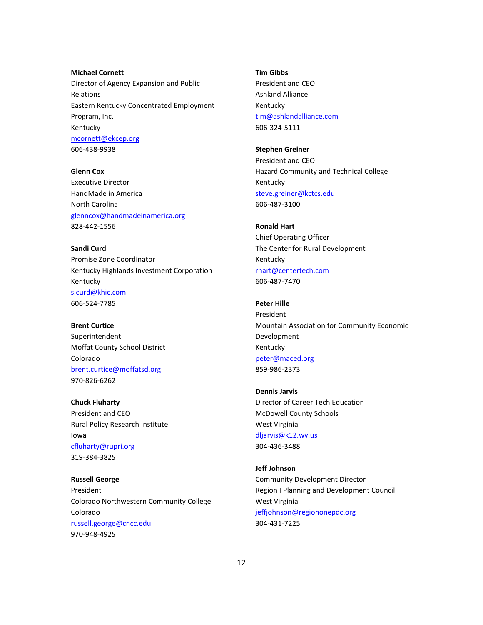**Michael Cornett**  Director of Agency Expansion and Public Relations Eastern Kentucky Concentrated Employment Program, Inc. Kentucky [mcornett@ekcep.org](mailto:mcornett@ekcep.org) 606-438-9938

**Glenn Cox** Executive Director HandMade in America North Carolina [glenncox@handmadeinamerica.org](mailto:glenncox@handmadeinamerica.org) 828-442-1556

**Sandi Curd**  Promise Zone Coordinator Kentucky Highlands Investment Corporation Kentucky [s.curd@khic.com](mailto:s.curd@khic.com) 606-524-7785

**Brent Curtice**  Superintendent Moffat County School District Colorado [brent.curtice@moffatsd.org](mailto:brent.curtice@moffatsd.org) 970-826-6262

**Chuck Fluharty**  President and CEO Rural Policy Research Institute Iowa [cfluharty@rupri.org](mailto:cfluharty@rupri.org) 319-384-3825

**Russell George**  President Colorado Northwestern Community College Colorado [russell.george@cncc.edu](mailto:russell.george@cncc.edu) 970-948-4925

**Tim Gibbs**  President and CEO Ashland Alliance Kentucky [tim@ashlandalliance.com](mailto:tim@ashlandalliance.com) 606-324-5111

**Stephen Greiner**  President and CEO Hazard Community and Technical College Kentucky [steve.greiner@kctcs.edu](mailto:steve.greiner@kctcs.edu) 606-487-3100

**Ronald Hart**  Chief Operating Officer The Center for Rural Development Kentucky [rhart@centertech.com](mailto:rhart@centertech.com) 606-487-7470

**Peter Hille**  President Mountain Association for Community Economic Development Kentucky [peter@maced.org](mailto:peter@maced.org) 859-986-2373

**Dennis Jarvis**  Director of Career Tech Education McDowell County Schools West Virginia [dljarvis@k12.wv.us](mailto:dljarvis@k12.wv.us) 304-436-3488

**Jeff Johnson**  Community Development Director Region I Planning and Development Council West Virginia [jeffjohnson@regiononepdc.org](mailto:jeffjohnson@regiononepdc.org) 304-431-7225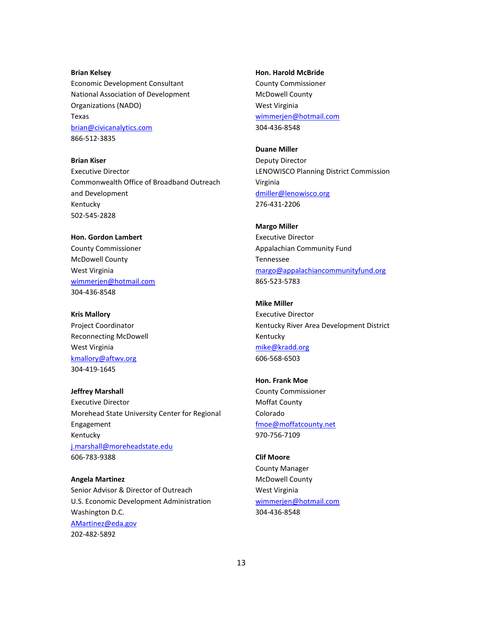#### **Brian Kelsey**

Economic Development Consultant National Association of Development Organizations (NADO) Texas [brian@civicanalytics.com](mailto:brian@civicanalytics.com) 866-512-3835

**Brian Kiser** 

Executive Director Commonwealth Office of Broadband Outreach and Development Kentucky 502-545-2828

### **Hon. Gordon Lambert**  County Commissioner McDowell County West Virginia [wimmerjen@hotmail.com](mailto:wimmerjen@hotmail.com) 304-436-8548

**Kris Mallory** 

Project Coordinator Reconnecting McDowell West Virginia [kmallory@aftwv.org](mailto:kmallory@aftwv.org) 304-419-1645

**Jeffrey Marshall**  Executive Director Morehead State University Center for Regional Engagement Kentucky [j.marshall@moreheadstate.edu](mailto:j.marshall@moreheadstate.edu) 606-783-9388

**Angela Martinez** Senior Advisor & Director of Outreach U.S. Economic Development Administration Washington D.C. [AMartinez@eda.gov](mailto:AMartinez@eda.gov) 202-482-5892

#### **Hon. Harold McBride**

County Commissioner McDowell County West Virginia [wimmerjen@hotmail.com](mailto:wimmerjen@hotmail.com) 304-436-8548

**Duane Miller** 

Deputy Director LENOWISCO Planning District Commission Virginia [dmiller@lenowisco.org](mailto:dmiller@lenowisco.org) 276-431-2206

**Margo Miller**  Executive Director Appalachian Community Fund Tennessee [margo@appalachiancommunityfund.org](mailto:margo@appalachiancommunityfund.org) 865-523-5783

**Mike Miller**  Executive Director Kentucky River Area Development District Kentucky [mike@kradd.org](mailto:mike@kradd.org) 606-568-6503

**Hon. Frank Moe**  County Commissioner Moffat County Colorado [fmoe@moffatcounty.net](mailto:fmoe@moffatcounty.net) 970-756-7109

**Clif Moore**  County Manager McDowell County West Virginia [wimmerjen@hotmail.com](mailto:wimmerjen@hotmail.com) 304-436-8548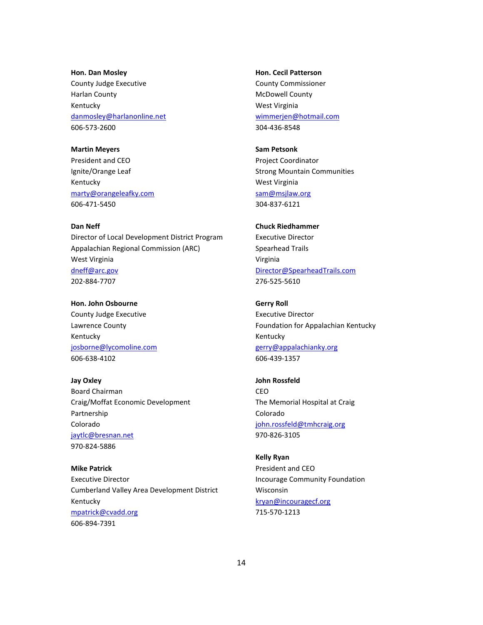#### **Hon. Dan Mosley**

County Judge Executive Harlan County Kentucky [danmosley@harlanonline.net](mailto:danmosley@harlanonline.net) 606-573-2600

#### **Martin Meyers**

President and CEO Ignite/Orange Leaf Kentucky [marty@orangeleafky.com](mailto:marty@orangeleafky.com) 606-471-5450

#### **Dan Neff**

Director of Local Development District Program Appalachian Regional Commission (ARC) West Virginia [dneff@arc.gov](mailto:dneff@arc.gov) 202-884-7707

**Hon. John Osbourne**  County Judge Executive Lawrence County Kentucky [josborne@lycomoline.com](mailto:josborne@lycomoline.com) 606-638-4102

**Jay Oxley**  Board Chairman Craig/Moffat Economic Development Partnership Colorado [jaytlc@bresnan.net](mailto:jaytlc@bresnan.net) 970-824-5886

**Mike Patrick**  Executive Director Cumberland Valley Area Development District Kentucky [mpatrick@cvadd.org](mailto:mpatrick@cvadd.org) 606-894-7391

#### **Hon. Cecil Patterson**

County Commissioner McDowell County West Virginia [wimmerjen@hotmail.com](mailto:wimmerjen@hotmail.com) 304-436-8548

#### **Sam Petsonk**

Project Coordinator Strong Mountain Communities West Virginia [sam@msjlaw.org](mailto:sam@msjlaw.org) 304-837-6121

#### **Chuck Riedhammer**

Executive Director Spearhead Trails Virginia [Director@SpearheadTrails.com](mailto:Director@SpearheadTrails.com) 276-525-5610

### **Gerry Roll**

Executive Director Foundation for Appalachian Kentucky Kentucky [gerry@appalachianky.org](mailto:gerry@appalachianky.org) 606-439-1357

### **John Rossfeld**  CEO The Memorial Hospital at Craig Colorado [john.rossfeld@tmhcraig.org](mailto:john.rossfeld@tmhcraig.org) 970-826-3105

**Kelly Ryan**  President and CEO Incourage Community Foundation Wisconsin [kryan@incouragecf.org](mailto:kryan@incouragecf.org) 715-570-1213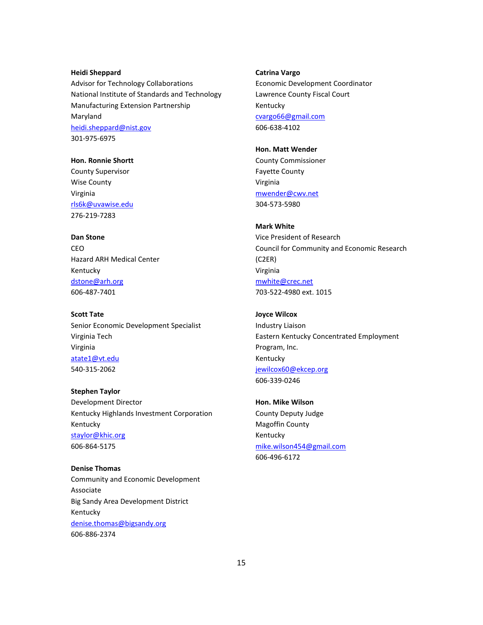#### **Heidi Sheppard**

Advisor for Technology Collaborations National Institute of Standards and Technology Manufacturing Extension Partnership Maryland [heidi.sheppard@nist.gov](mailto:heidi.sheppard@nist.gov) 301-975-6975

**Hon. Ronnie Shortt**  County Supervisor Wise County Virginia [rls6k@uvawise.edu](mailto:rls6k@uvawise.edu) 276-219-7283

**Dan Stone**  CEO Hazard ARH Medical Center Kentucky [dstone@arh.org](mailto:dstone@arh.org) 606-487-7401

**Scott Tate** Senior Economic Development Specialist Virginia Tech Virginia [atate1@vt.edu](mailto:atate1@vt.edu) 540-315-2062

**Stephen Taylor**  Development Director Kentucky Highlands Investment Corporation Kentucky [staylor@khic.org](mailto:staylor@khic.org) 606-864-5175

**Denise Thomas**  Community and Economic Development Associate Big Sandy Area Development District Kentucky [denise.thomas@bigsandy.org](mailto:denise.thomas@bigsandy.org) 606-886-2374

#### **Catrina Vargo**

Economic Development Coordinator Lawrence County Fiscal Court Kentucky [cvargo66@gmail.com](mailto:cvargo66@gmail.com) 606-638-4102

#### **Hon. Matt Wender**

County Commissioner Fayette County Virginia [mwender@cwv.net](mailto:mwender@cwv.net) 304-573-5980

#### **Mark White**

Vice President of Research Council for Community and Economic Research (C2ER) Virginia [mwhite@crec.net](mailto:mwhite@crec.net) 703-522-4980 ext. 1015

**Joyce Wilcox**  Industry Liaison Eastern Kentucky Concentrated Employment Program, Inc. Kentucky [jewilcox60@ekcep.org](mailto:jewilcox60@ekcep.org) 606-339-0246

**Hon. Mike Wilson**  County Deputy Judge Magoffin County Kentucky [mike.wilson454@gmail.com](mailto:mike.wilson454@gmail.com) 606-496-6172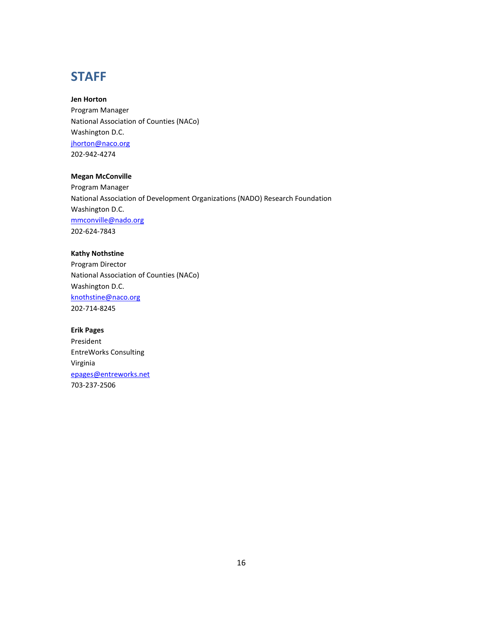## **STAFF**

**Jen Horton** Program Manager National Association of Counties (NACo) Washington D.C. [jhorton@naco.org](mailto:jhorton@naco.org) 202-942-4274

#### **Megan McConville**

Program Manager National Association of Development Organizations (NADO) Research Foundation Washington D.C. [mmconville@nado.org](mailto:mmconville@nado.org) 202-624-7843

#### **Kathy Nothstine**

Program Director National Association of Counties (NACo) Washington D.C. [knothstine@naco.org](mailto:knothstine@naco.org) 202-714-8245

#### **Erik Pages**

President EntreWorks Consulting Virginia [epages@entreworks.net](mailto:epages@entreworks.net) 703-237-2506